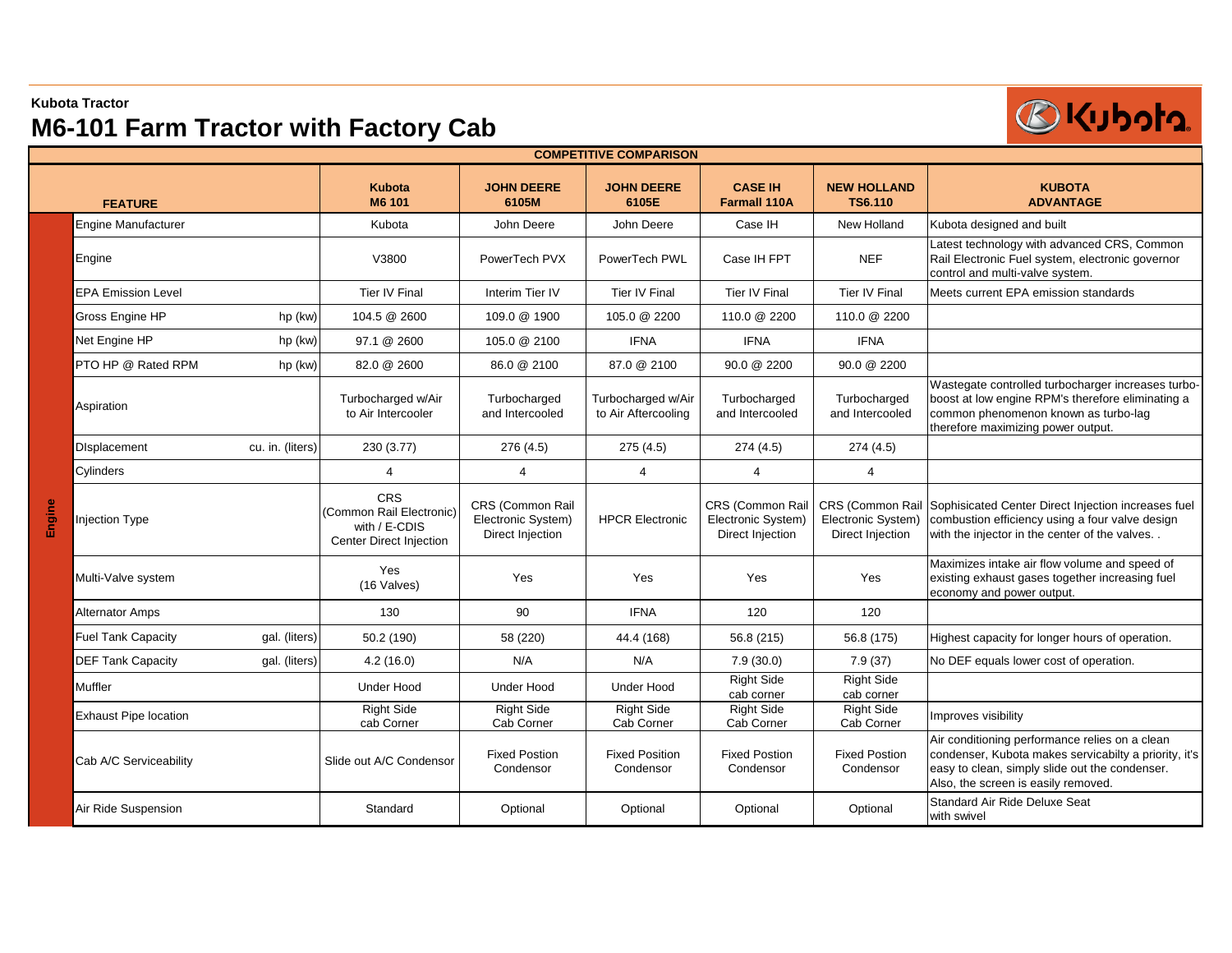### **Kubota Tractor**

# **M6-101 Farm Tractor with Factory Cab**



| <b>COMPETITIVE COMPARISON</b> |                              |                  |                                                                                    |                                                            |                                           |                                                            |                                        |                                                                                                                                                                                                  |  |
|-------------------------------|------------------------------|------------------|------------------------------------------------------------------------------------|------------------------------------------------------------|-------------------------------------------|------------------------------------------------------------|----------------------------------------|--------------------------------------------------------------------------------------------------------------------------------------------------------------------------------------------------|--|
|                               | <b>FEATURE</b>               |                  | <b>Kubota</b><br>M6 101                                                            | <b>JOHN DEERE</b><br>6105M                                 | <b>JOHN DEERE</b><br>6105E                | <b>CASE IH</b><br><b>Farmall 110A</b>                      | <b>NEW HOLLAND</b><br><b>TS6.110</b>   | <b>KUBOTA</b><br><b>ADVANTAGE</b>                                                                                                                                                                |  |
|                               | <b>Engine Manufacturer</b>   |                  | Kubota                                                                             | John Deere                                                 | John Deere                                | Case IH                                                    | New Holland                            | Kubota designed and built                                                                                                                                                                        |  |
|                               | Engine                       |                  | V3800                                                                              | PowerTech PVX                                              | PowerTech PWL                             | Case IH FPT                                                | <b>NEF</b>                             | Latest technology with advanced CRS, Common<br>Rail Electronic Fuel system, electronic governor<br>control and multi-valve system.                                                               |  |
|                               | <b>EPA Emission Level</b>    |                  | <b>Tier IV Final</b>                                                               | Interim Tier IV                                            | <b>Tier IV Final</b>                      | Tier IV Final                                              | <b>Tier IV Final</b>                   | Meets current EPA emission standards                                                                                                                                                             |  |
|                               | Gross Engine HP              | hp (kw)          | 104.5 @ 2600                                                                       | 109.0 @ 1900                                               | 105.0 @ 2200                              | 110.0 @ 2200                                               | 110.0 @ 2200                           |                                                                                                                                                                                                  |  |
|                               | Net Engine HP                | hp (kw)          | 97.1 @ 2600                                                                        | 105.0 @ 2100                                               | <b>IFNA</b>                               | <b>IFNA</b>                                                | <b>IFNA</b>                            |                                                                                                                                                                                                  |  |
|                               | PTO HP @ Rated RPM           | hp (kw)          | 82.0 @ 2600                                                                        | 86.0 @ 2100                                                | 87.0 @ 2100                               | 90.0 @ 2200                                                | 90.0 @ 2200                            |                                                                                                                                                                                                  |  |
|                               | Aspiration                   |                  | Turbocharged w/Air<br>to Air Intercooler                                           | Turbocharged<br>and Intercooled                            | Turbocharged w/Air<br>to Air Aftercooling | Turbocharged<br>and Intercooled                            | Turbocharged<br>and Intercooled        | Wastegate controlled turbocharger increases turbo-<br>boost at low engine RPM's therefore eliminating a<br>common phenomenon known as turbo-lag<br>therefore maximizing power output.            |  |
| Engine                        | <b>Displacement</b>          | cu. in. (liters) | 230 (3.77)                                                                         | 276 (4.5)                                                  | 275(4.5)                                  | 274(4.5)                                                   | 274(4.5)                               |                                                                                                                                                                                                  |  |
|                               | Cylinders                    |                  | 4                                                                                  | $\overline{4}$                                             | $\overline{4}$                            | $\overline{4}$                                             | $\overline{4}$                         |                                                                                                                                                                                                  |  |
|                               | <b>Injection Type</b>        |                  | <b>CRS</b><br>(Common Rail Electronic)<br>with / E-CDIS<br>Center Direct Injection | CRS (Common Rail<br>Electronic System)<br>Direct Injection | <b>HPCR Electronic</b>                    | CRS (Common Rail<br>Electronic System)<br>Direct Injection | Electronic System)<br>Direct Injection | CRS (Common Rail Sophisicated Center Direct Injection increases fuel<br>combustion efficiency using a four valve design<br>with the injector in the center of the valves                         |  |
|                               | Multi-Valve system           |                  | Yes<br>(16 Valves)                                                                 | Yes                                                        | Yes                                       | Yes                                                        | Yes                                    | Maximizes intake air flow volume and speed of<br>existing exhaust gases together increasing fuel<br>economy and power output.                                                                    |  |
|                               | Alternator Amps              |                  | 130                                                                                | 90                                                         | <b>IFNA</b>                               | 120                                                        | 120                                    |                                                                                                                                                                                                  |  |
|                               | <b>Fuel Tank Capacity</b>    | gal. (liters)    | 50.2 (190)                                                                         | 58 (220)                                                   | 44.4 (168)                                | 56.8 (215)                                                 | 56.8 (175)                             | Highest capacity for longer hours of operation.                                                                                                                                                  |  |
|                               | <b>DEF Tank Capacity</b>     | gal. (liters)    | 4.2(16.0)                                                                          | N/A                                                        | N/A                                       | 7.9(30.0)                                                  | 7.9(37)                                | No DEF equals lower cost of operation.                                                                                                                                                           |  |
|                               | Muffler                      |                  | <b>Under Hood</b>                                                                  | <b>Under Hood</b>                                          | <b>Under Hood</b>                         | <b>Right Side</b><br>cab corner                            | <b>Right Side</b><br>cab corner        |                                                                                                                                                                                                  |  |
|                               | <b>Exhaust Pipe location</b> |                  | <b>Right Side</b><br>cab Corner                                                    | <b>Right Side</b><br>Cab Corner                            | <b>Right Side</b><br>Cab Corner           | <b>Right Side</b><br>Cab Corner                            | <b>Right Side</b><br>Cab Corner        | Improves visibility                                                                                                                                                                              |  |
|                               | Cab A/C Serviceability       |                  | Slide out A/C Condensor                                                            | <b>Fixed Postion</b><br>Condensor                          | <b>Fixed Position</b><br>Condensor        | <b>Fixed Postion</b><br>Condensor                          | <b>Fixed Postion</b><br>Condensor      | Air conditioning performance relies on a clean<br>condenser, Kubota makes servicabilty a priority, it's<br>easy to clean, simply slide out the condenser.<br>Also, the screen is easily removed. |  |
|                               | Air Ride Suspension          |                  | Standard                                                                           | Optional                                                   | Optional                                  | Optional                                                   | Optional                               | <b>Standard Air Ride Deluxe Seat</b><br>with swivel                                                                                                                                              |  |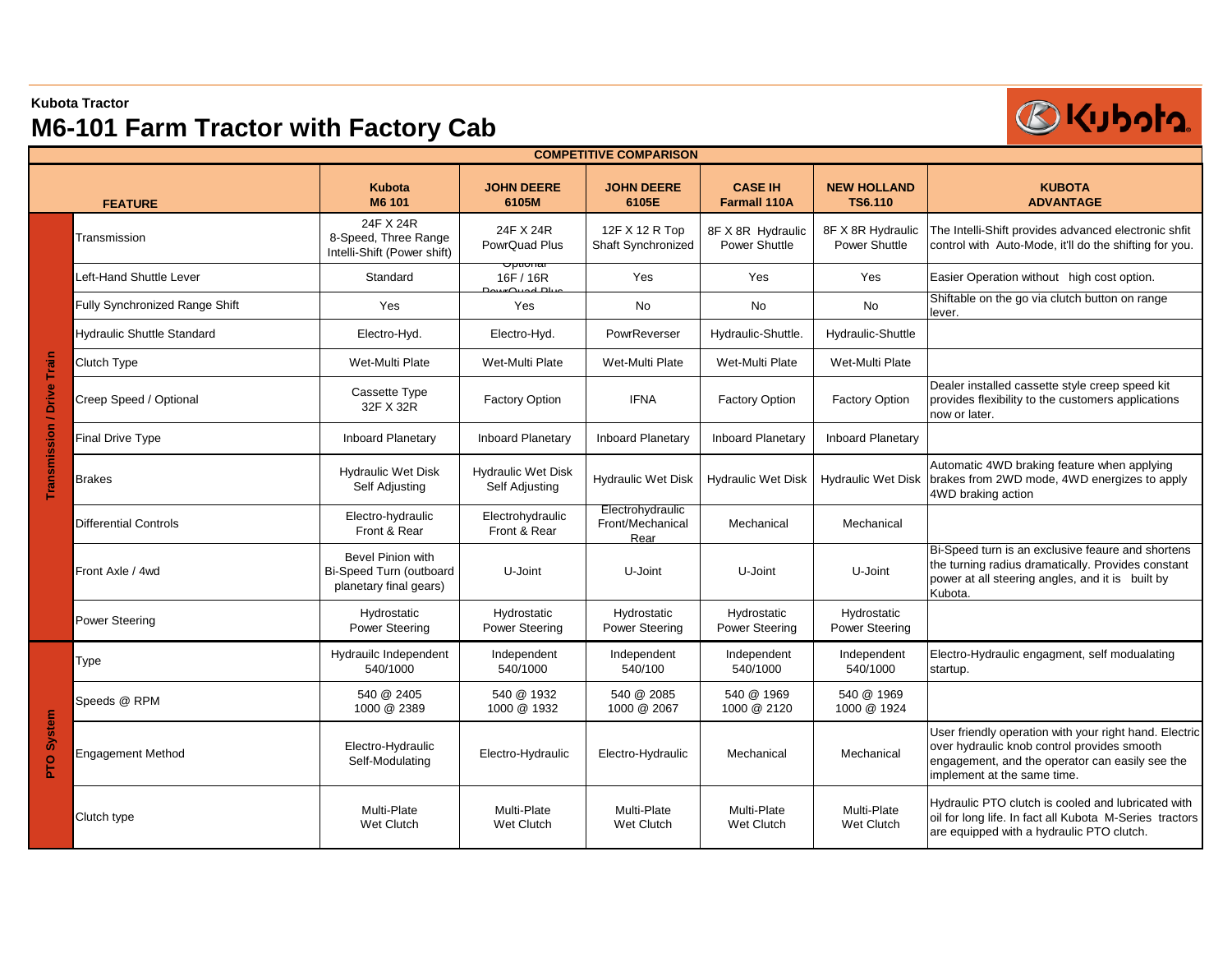### **Kubota Tractor**

# **M6-101 Farm Tractor with Factory Cab**



| <b>COMPETITIVE COMPARISON</b> |                                   |                                                                        |                                             |                                              |                                       |                                      |                                                                                                                                                                                         |  |
|-------------------------------|-----------------------------------|------------------------------------------------------------------------|---------------------------------------------|----------------------------------------------|---------------------------------------|--------------------------------------|-----------------------------------------------------------------------------------------------------------------------------------------------------------------------------------------|--|
| <b>FEATURE</b>                |                                   | <b>Kubota</b><br>M6 101                                                | <b>JOHN DEERE</b><br>6105M                  | <b>JOHN DEERE</b><br>6105E                   | <b>CASE IH</b><br><b>Farmall 110A</b> | <b>NEW HOLLAND</b><br><b>TS6.110</b> | <b>KUBOTA</b><br><b>ADVANTAGE</b>                                                                                                                                                       |  |
|                               | Transmission                      | 24F X 24R<br>8-Speed, Three Range<br>Intelli-Shift (Power shift)       | 24F X 24R<br>PowrQuad Plus                  | 12F X 12 R Top<br>Shaft Synchronized         | 8F X 8R Hydraulic<br>Power Shuttle    | 8F X 8R Hydraulic<br>Power Shuttle   | The Intelli-Shift provides advanced electronic shfit<br>control with Auto-Mode, it'll do the shifting for you.                                                                          |  |
|                               | Left-Hand Shuttle Lever           | Standard                                                               | Όριισπαι<br>16F / 16R                       | Yes                                          | Yes                                   | Yes                                  | Easier Operation without high cost option.                                                                                                                                              |  |
|                               | Fully Synchronized Range Shift    | Yes                                                                    | Yes                                         | <b>No</b>                                    | No                                    | No                                   | Shiftable on the go via clutch button on range<br>lever.                                                                                                                                |  |
|                               | <b>Hydraulic Shuttle Standard</b> | Electro-Hyd.                                                           | Electro-Hyd.                                | PowrReverser                                 | Hydraulic-Shuttle.                    | Hydraulic-Shuttle                    |                                                                                                                                                                                         |  |
|                               | Clutch Type                       | Wet-Multi Plate                                                        | Wet-Multi Plate                             | Wet-Multi Plate                              | Wet-Multi Plate                       | Wet-Multi Plate                      |                                                                                                                                                                                         |  |
|                               | Creep Speed / Optional            | Cassette Type<br>32F X 32R                                             | <b>Factory Option</b>                       | <b>IFNA</b>                                  | <b>Factory Option</b>                 | <b>Factory Option</b>                | Dealer installed cassette style creep speed kit<br>provides flexibility to the customers applications<br>now or later.                                                                  |  |
|                               | <b>Final Drive Type</b>           | Inboard Planetary                                                      | <b>Inboard Planetary</b>                    | <b>Inboard Planetary</b>                     | <b>Inboard Planetary</b>              | <b>Inboard Planetary</b>             |                                                                                                                                                                                         |  |
| Transmission / Drive Train    | <b>Brakes</b>                     | <b>Hydraulic Wet Disk</b><br>Self Adjusting                            | <b>Hydraulic Wet Disk</b><br>Self Adjusting | <b>Hydraulic Wet Disk</b>                    | <b>Hydraulic Wet Disk</b>             | <b>Hydraulic Wet Disk</b>            | Automatic 4WD braking feature when applying<br>brakes from 2WD mode, 4WD energizes to apply<br>4WD braking action                                                                       |  |
|                               | <b>Differential Controls</b>      | Electro-hydraulic<br>Front & Rear                                      | Electrohydraulic<br>Front & Rear            | Electrohydraulic<br>Front/Mechanical<br>Rear | Mechanical                            | Mechanical                           |                                                                                                                                                                                         |  |
|                               | Front Axle / 4wd                  | Bevel Pinion with<br>Bi-Speed Turn (outboard<br>planetary final gears) | U-Joint                                     | U-Joint                                      | U-Joint                               | U-Joint                              | Bi-Speed turn is an exclusive feaure and shortens<br>the turning radius dramatically. Provides constant<br>power at all steering angles, and it is built by<br>Kubota.                  |  |
|                               | <b>Power Steering</b>             | Hydrostatic<br><b>Power Steering</b>                                   | Hydrostatic<br><b>Power Steering</b>        | Hydrostatic<br>Power Steering                | Hydrostatic<br><b>Power Steering</b>  | Hydrostatic<br><b>Power Steering</b> |                                                                                                                                                                                         |  |
| System<br><b>PTO</b>          | Type                              | Hydrauilc Independent<br>540/1000                                      | Independent<br>540/1000                     | Independent<br>540/100                       | Independent<br>540/1000               | Independent<br>540/1000              | Electro-Hydraulic engagment, self modualating<br>startup.                                                                                                                               |  |
|                               | Speeds @ RPM                      | 540 @ 2405<br>1000 @ 2389                                              | 540 @ 1932<br>1000 @ 1932                   | 540 @ 2085<br>1000 @ 2067                    | 540 @ 1969<br>1000 @ 2120             | 540 @ 1969<br>1000 @ 1924            |                                                                                                                                                                                         |  |
|                               | <b>Engagement Method</b>          | Electro-Hydraulic<br>Self-Modulating                                   | Electro-Hydraulic                           | Electro-Hydraulic                            | Mechanical                            | Mechanical                           | User friendly operation with your right hand. Electric<br>over hydraulic knob control provides smooth<br>engagement, and the operator can easily see the<br>implement at the same time. |  |
|                               | Clutch type                       | Multi-Plate<br>Wet Clutch                                              | Multi-Plate<br>Wet Clutch                   | Multi-Plate<br>Wet Clutch                    | Multi-Plate<br>Wet Clutch             | Multi-Plate<br>Wet Clutch            | Hydraulic PTO clutch is cooled and lubricated with<br>oil for long life. In fact all Kubota M-Series tractors<br>are equipped with a hydraulic PTO clutch.                              |  |